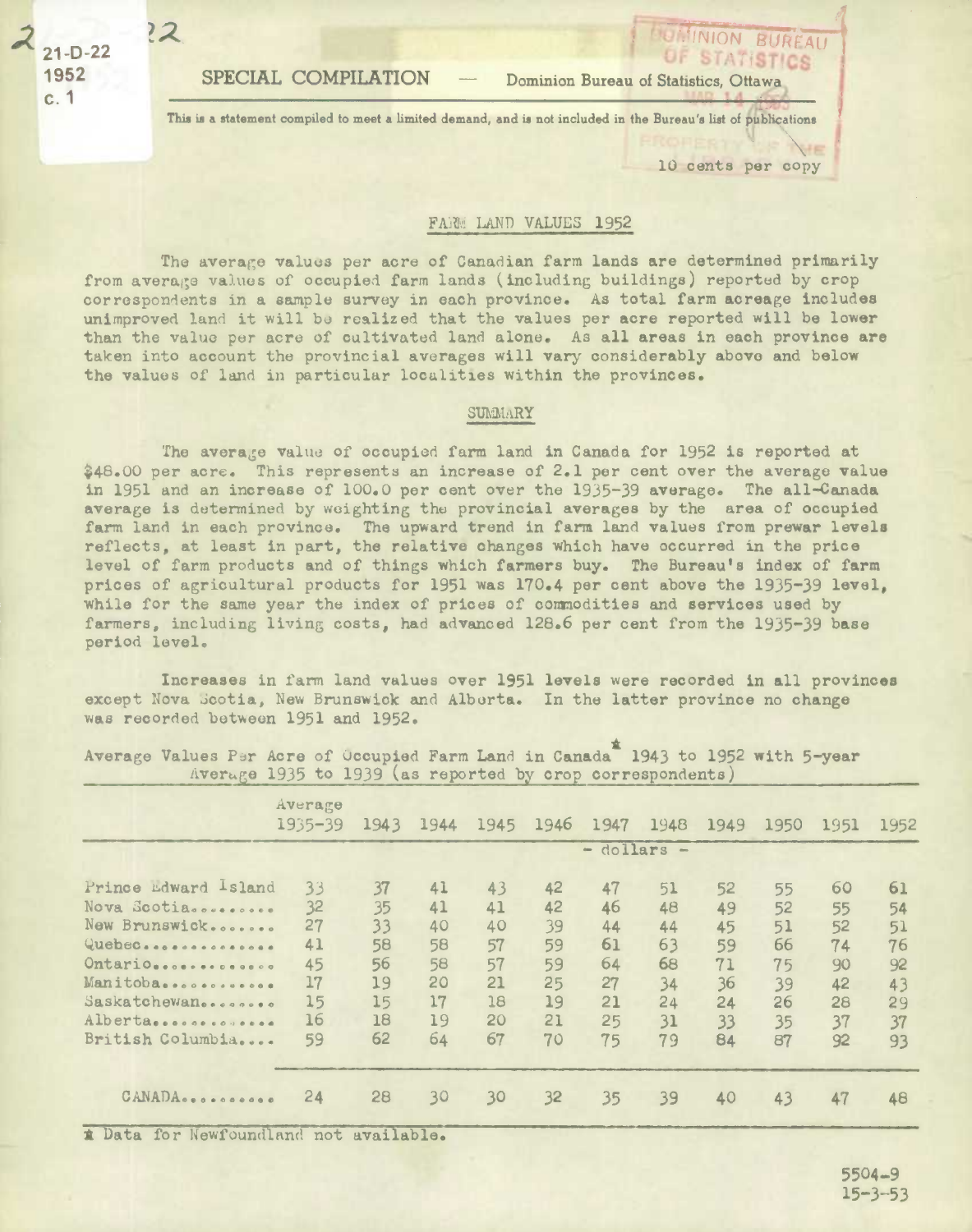**21-0-22**  C.

?2.

1952 **SPECIAL COMPILATION** - Dominion Bureau of Statistics, Ottawa

This is a statement compiled to meet a limited demand, and is not included in the Bureau's list of publications<br>
<sup>10</sup> cents nor conv

10 cents per copy

**MINION BURFAU STATISTICS** 

 $\sigma$ 

## FARM LAND VALUES 1952

The average values per acre of Canadian farm lands are determined primarily from average values of occupied farm lands (including buildings) reported by crop correspondents in a sample survey in each province. As total farm acreage includes unimproved land it will be realized that the values per acre reported will be lower than the value per acre of cultivated land alone. As all areas in each province are taken into account the provincial averages will vary considerably above and below the values of land in particular localities within the provinces.

## **SUMMARY**

The average value of occupied farm land in Canada for 1952 is reported at 48.00 per acre. This represents an increase of 2.1 per cent over the average value in 1951 and an increase of 100.0 per cent over the *1935-39* average. The all-Canada average is determined by weighting the provincial **averages** by the area of occupied farm land in each province. The upward trend in farm land values from prewar levels reflects, at least in part, the relative changes which have occurred in the price level of farm products and of things which farmers buy. The Bureau's index of farm prices of agricultural products for 1951 was 170.4 per cent above the *1935-39* **level,**  while for the same year the index of prices of commodities and services used by farmers, including living costs, had advanced 128.6 per cent from the 1935-39 base period level.

Increases in farm land values over 1951 **levels** were recorded in all provinces except Nova Scotia, New Brunswick and Alberta. In the latter province no change was recorded between 1951 and 1952.

|                                               | Average<br>$1935 - 39$ | 1943     | 1944     | 1945        | 1946     | 1947     | 1948     | 1949     | 1950     | 1951     | 1952     |  |
|-----------------------------------------------|------------------------|----------|----------|-------------|----------|----------|----------|----------|----------|----------|----------|--|
|                                               |                        |          |          | - dollars - |          |          |          |          |          |          |          |  |
| Prince Edward Island<br>Nova Scotiassuessesse | 33<br>32               | 37<br>35 | 41<br>41 | 43<br>41    | 42<br>42 | 47<br>46 | 51<br>48 | 52<br>49 | 55<br>52 | 60<br>55 | 61<br>54 |  |
| New Brunswick<br>Quebec                       | 27<br>41               | 33<br>58 | 40<br>58 | 40<br>57    | 39<br>59 | 44<br>61 | 44<br>63 | 45<br>59 | 51<br>66 | 52<br>74 | 51<br>76 |  |
| Ontario                                       | 45<br>17               | 56       | 58<br>20 | 57<br>21    | 59       | 64       | 68       | 71       | 75       | 90       | 92       |  |
| Manitoba<br>Saskatchewan                      | 15                     | 19<br>15 | 17       | 18          | 25<br>19 | 27<br>21 | 34<br>24 | 36<br>24 | 39<br>26 | 42<br>28 | 43<br>29 |  |
| Alberta<br>British Columbia                   | 16<br>59               | 18<br>62 | 19<br>64 | 20<br>67    | 21<br>70 | 25<br>75 | 31<br>79 | 33<br>84 | 35<br>87 | 37<br>92 | 37<br>93 |  |
| CANADA                                        | 24                     | 28       | 30       | 30          | 32       | 35       | 39       | 40       | 43       | 47       | 48       |  |

Average Values Per Acre of Occupied Farm Land in Canada 1943 to 1952 with 5-year  $\Delta$  Avertge 1935 to 1939 (as reported by crop correspondents)

1 Data for Newfoundland not available.